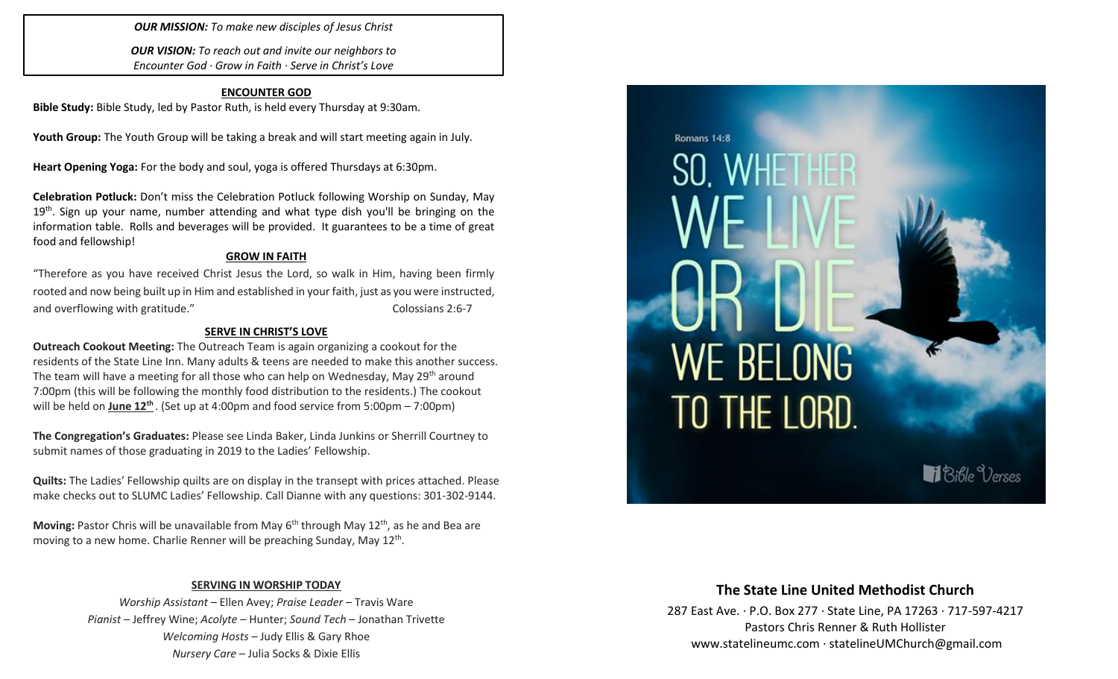*OUR MISSION: To make new disciples of Jesus Christ*

*OUR VISION: To reach out and invite our neighbors to Encounter God · Grow in Faith · Serve in Christ's Love*

### **ENCOUNTER GOD**

**Bible Study:** Bible Study, led by Pastor Ruth, is held every Thursday at 9:30am.

**Youth Group:** The Youth Group will be taking a break and will start meeting again in July.

**Heart Opening Yoga:** For the body and soul, yoga is offered Thursdays at 6:30pm.

**Celebration Potluck:** Don't miss the Celebration Potluck following Worship on Sunday, May 19<sup>th</sup>. Sign up your name, number attending and what type dish you'll be bringing on the information table. Rolls and beverages will be provided. It guarantees to be a time of great food and fellowship!

### **GROW IN FAITH**

"Therefore as you have received Christ Jesus the Lord, so walk in Him, having been firmly rooted and now being built up in Him and established in your faith, just as you were instructed, and overflowing with gratitude." The contract of the Colossians 2:6-7

### **SERVE IN CHRIST'S LOVE**

**Outreach Cookout Meeting:** The Outreach Team is again organizing a cookout for the residents of the State Line Inn. Many adults & teens are needed to make this another success. The team will have a meeting for all those who can help on Wednesday, May 29th around 7:00pm (this will be following the monthly food distribution to the residents.) The cookout will be held on **June 12 th** . (Set up at 4:00pm and food service from 5:00pm – 7:00pm)

**The Congregation's Graduates:** Please see Linda Baker, Linda Junkins or Sherrill Courtney to submit names of those graduating in 2019 to the Ladies' Fellowship.

**Quilts:** The Ladies' Fellowship quilts are on display in the transept with prices attached. Please make checks out to SLUMC Ladies' Fellowship. Call Dianne with any questions: 301-302-9144.

**Moving:** Pastor Chris will be unavailable from May 6<sup>th</sup> through May 12<sup>th</sup>, as he and Bea are moving to a new home. Charlie Renner will be preaching Sunday, May 12<sup>th</sup>.

### **SERVING IN WORSHIP TODAY**

*Worship Assistant* – Ellen Avey; *Praise Leader* – Travis Ware *Pianist* – Jeffrey Wine; *Acolyte* – Hunter; *Sound Tech* – Jonathan Trivette *Welcoming Hosts* – Judy Ellis & Gary Rhoe *Nursery Care* – Julia Socks & Dixie Ellis



### **The State Line United Methodist Church**

287 East Ave. · P.O. Box 277 · State Line, PA 17263 · 717-597-4217 Pastors Chris Renner & Ruth Hollister [www.statelineumc.com](http://www.statelineumc.com/) · statelineUMChurch@gmail.com